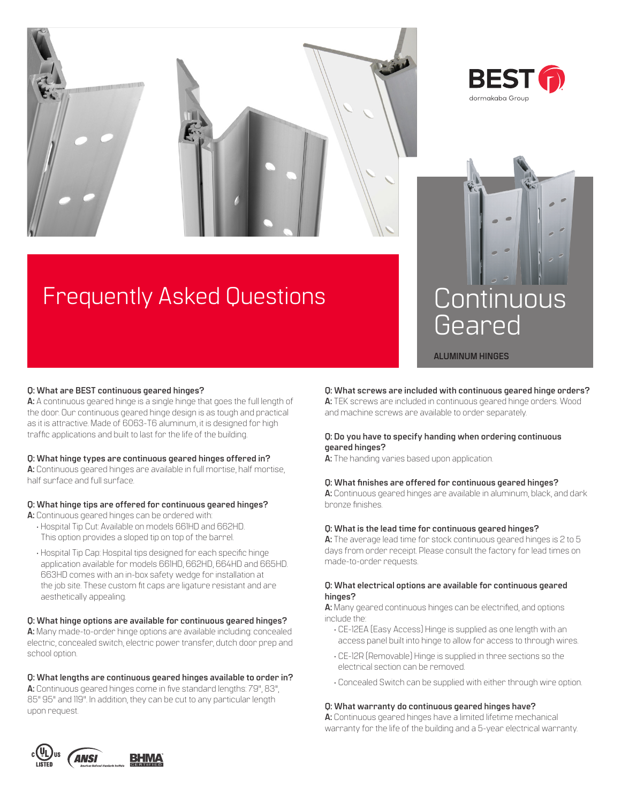



# Frequently Asked Questions



**ALUMINUM HINGES**

# **Q: What are BEST continuous geared hinges?**

**A:** A continuous geared hinge is a single hinge that goes the full length of the door. Our continuous geared hinge design is as tough and practical as it is attractive. Made of 6063-T6 aluminum, it is designed for high traffic applications and built to last for the life of the building.

### **Q: What hinge types are continuous geared hinges offered in?**

**A:** Continuous geared hinges are available in full mortise, half mortise, half surface and full surface.

# **Q: What hinge tips are offered for continuous geared hinges?**

- **A:** Continuous geared hinges can be ordered with: • Hospital Tip Cut: Available on models 661HD and 662HD.
	- This option provides a sloped tip on top of the barrel.
	- Hospital Tip Cap: Hospital tips designed for each specific hinge application available for models 661HD, 662HD, 664HD and 665HD. 663HD comes with an in-box safety wedge for installation at the job site. These custom fit caps are ligature resistant and are aesthetically appealing.

### **Q: What hinge options are available for continuous geared hinges?**

**A:** Many made-to-order hinge options are available including: concealed electric, concealed switch, electric power transfer, dutch door prep and school option.

### **Q: What lengths are continuous geared hinges available to order in?**

**A:** Continuous geared hinges come in five standard lengths: 79", 83", 85" 95" and 119". In addition, they can be cut to any particular length upon request.

# **Q: What screws are included with continuous geared hinge orders?**

**A:** TEK screws are included in continuous geared hinge orders. Wood and machine screws are available to order separately.

# **Q: Do you have to specify handing when ordering continuous geared hinges?**

**A:** The handing varies based upon application.

# **Q: What finishes are offered for continuous geared hinges?**

**A:** Continuous geared hinges are available in aluminum, black, and dark bronze finishes.

## **Q: What is the lead time for continuous geared hinges?**

**A:** The average lead time for stock continuous geared hinges is 2 to 5 days from order receipt. Please consult the factory for lead times on made-to-order requests.

### **Q: What electrical options are available for continuous geared hinges?**

**A:** Many geared continuous hinges can be electrified, and options include the:

- CE-12EA (Easy Access) Hinge is supplied as one length with an access panel built into hinge to allow for access to through wires.
- CE-12R (Removable) Hinge is supplied in three sections so the electrical section can be removed.
- Concealed Switch can be supplied with either through wire option.

### **Q: What warranty do continuous geared hinges have?**

**A:** Continuous geared hinges have a limited lifetime mechanical warranty for the life of the building and a 5-year electrical warranty.